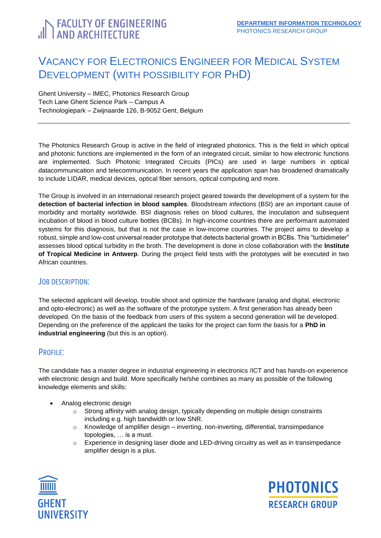# <span id="page-0-0"></span>**FACULTY OF ENGINEERING**<br>I AND ARCHITECTURE

## VACANCY FOR ELECTRONICS ENGINEER FOR MEDICAL SYSTEM DEVELOPMENT (WITH POSSIBILITY FOR PHD)

Ghent University – IMEC, Photonics Research Group Tech Lane Ghent Science Park – Campus A Technologiepark – Zwijnaarde 126, B-9052 Gent, Belgium

The Photonics Research Group is active in the field of integrated photonics. This is the field in which optical and photonic functions are implemented in the form of an integrated circuit, similar to how electronic functions are implemented. Such Photonic Integrated Circuits (PICs) are used in large numbers in optical datacommunication and telecommunication. In recent years the application span has broadened dramatically to include LIDAR, medical devices, optical fiber sensors, optical computing and more.

The Group is involved in an international research project geared towards the development of a system for the **detection of bacterial infection in blood samples**. Bloodstream infections (BSI) are an important cause of morbidity and mortality worldwide. BSI diagnosis relies on blood cultures, the inoculation and subsequent incubation of blood in blood culture bottles (BCBs). In high-income countries there are performant automated systems for this diagnosis, but that is not the case in low-income countries. The project aims to develop a robust, simple and low-cost universal reader prototype that detects bacterial growth in BCBs. This "turbidimeter" assesses blood optical turbidity in the broth. The development is done in close collaboration with the **Institute of Tropical Medicine in Antwerp**. During the project field tests with the prototypes will be executed in two African countries.

#### JOB DESCRIPTION:

The selected applicant will develop, trouble shoot and optimize the hardware (analog and digital, electronic and opto-electronic) as well as the software of the prototype system. A first generation has already been developed. On the basis of the feedback from users of this system a second generation will be developed. Depending on the preference of the applicant the tasks for the project can form the basis for a **PhD in industrial engineering** (but this is an option).

### PROFILE:

The candidate has a master degree in industrial engineering in electronics /ICT and has hands-on experience with electronic design and build. More specifically he/she combines as many as possible of the following knowledge elements and skills:

- Analog electronic design
	- $\circ$  Strong affinity with analog design, typically depending on multiple design constraints including e.g. high bandwidth or low SNR.
	- o Knowledge of amplifier design inverting, non-inverting, differential, transimpedance topologies, … is a must.
	- $\circ$  Experience in designing laser diode and LED-driving circuitry as well as in transimpedance amplifier design is a plus.



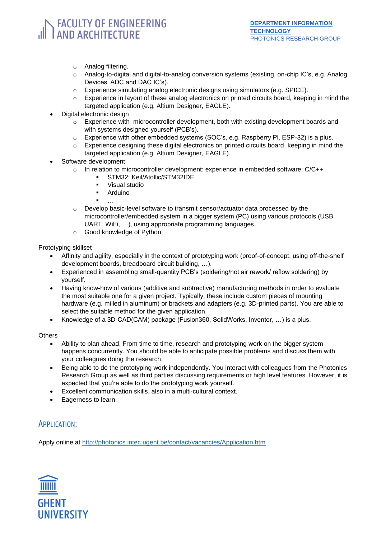## **FACULTY OF ENGINEERING AND ARCHITECTURE**

- o Analog filtering.
- o Analog-to-digital and digital-to-analog conversion systems (existing, on-chip IC's, e.g. Analog Devices' ADC and DAC IC's).
- $\circ$  Experience simulating analog electronic designs using simulators (e.g. SPICE).
- Experience in layout of these analog electronics on printed circuits board, keeping in mind the targeted application (e.g. Altium Designer, EAGLE).
- Digital electronic design
	- $\circ$  Experience with microcontroller development, both with existing development boards and with systems designed yourself (PCB's).
	- o Experience with other embedded systems (SOC's, e.g. Raspberry Pi, ESP-32) is a plus.
	- $\circ$  Experience designing these digital electronics on printed circuits board, keeping in mind the targeted application (e.g. Altium Designer, EAGLE).
- Software development
	- $\circ$  In relation to microcontroller development: experience in embedded software:  $C/C++$ .
		- STM32: Keil/Atollic/STM32IDE
		- Visual studio
		- **Arduino**
		- …
	- o Develop basic-level software to transmit sensor/actuator data processed by the microcontroller/embedded system in a bigger system (PC) using various protocols (USB, UART, WiFi, …), using appropriate programming languages.
	- o Good knowledge of Python

Prototyping skillset

- Affinity and agility, especially in the context of prototyping work (proof-of-concept, using off-the-shelf development boards, breadboard circuit building, …).
- Experienced in assembling small-quantity PCB's (soldering/hot air rework/ reflow soldering) by yourself.
- Having know-how of various (additive and subtractive) manufacturing methods in order to evaluate the most suitable one for a given project. Typically, these include custom pieces of mounting hardware (e.g. milled in aluminum) or brackets and adapters (e.g. 3D-printed parts). You are able to select the suitable method for the given application.
- Knowledge of a 3D-CAD(CAM) package (Fusion360, SolidWorks, Inventor, …) is a plus.

**Others** 

- Ability to plan ahead. From time to time, research and prototyping work on the bigger system happens concurrently. You should be able to anticipate possible problems and discuss them with your colleagues doing the research.
- Being able to do the prototyping work independently. You interact with colleagues from the Photonics Research Group as well as third parties discussing requirements or high level features. However, it is expected that you're able to do the prototyping work yourself.
- Excellent communication skills, also in a multi-cultural context.
- Eagerness to learn.

### APPLICATION:

Apply online at<http://photonics.intec.ugent.be/contact/vacancies/Application.htm>